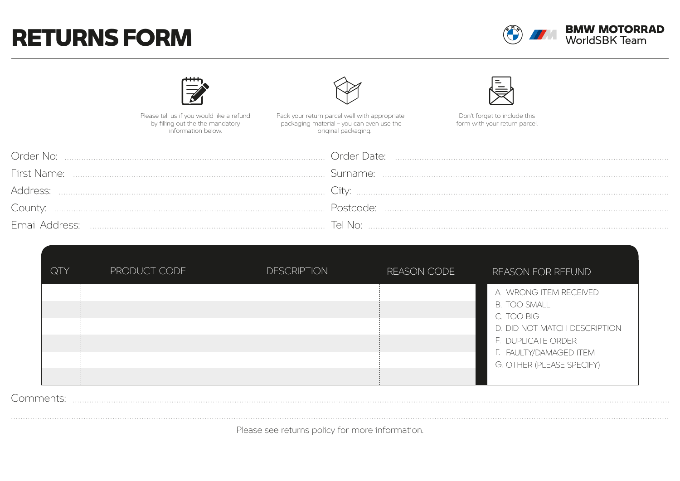## RETURNS FORM



|                    | Please tell us if you would like a refund<br>by filling out the the mandatory history information below.<br>Information below.<br>Information below. | Don't forget to include this<br>form with your return parcel. |  |
|--------------------|------------------------------------------------------------------------------------------------------------------------------------------------------|---------------------------------------------------------------|--|
| Order No:          |                                                                                                                                                      |                                                               |  |
| <b>First Name:</b> |                                                                                                                                                      |                                                               |  |
| Address:           |                                                                                                                                                      |                                                               |  |
| County:            |                                                                                                                                                      |                                                               |  |
|                    |                                                                                                                                                      |                                                               |  |

| QTY | PRODUCT CODE | <b>DESCRIPTION</b> | REASON CODE | <b>REASON FOR REFUND</b>                                                                                                                                                 |
|-----|--------------|--------------------|-------------|--------------------------------------------------------------------------------------------------------------------------------------------------------------------------|
|     |              |                    |             | A. WRONG ITEM RECEIVED<br><b>B. TOO SMALL</b><br>C. TOO BIG<br>D. DID NOT MATCH DESCRIPTION<br>E. DUPLICATE ORDER<br>F. FAULTY/DAMAGED ITEM<br>G. OTHER (PLEASE SPECIFY) |

### Comments:

Please see returns policy for more information.